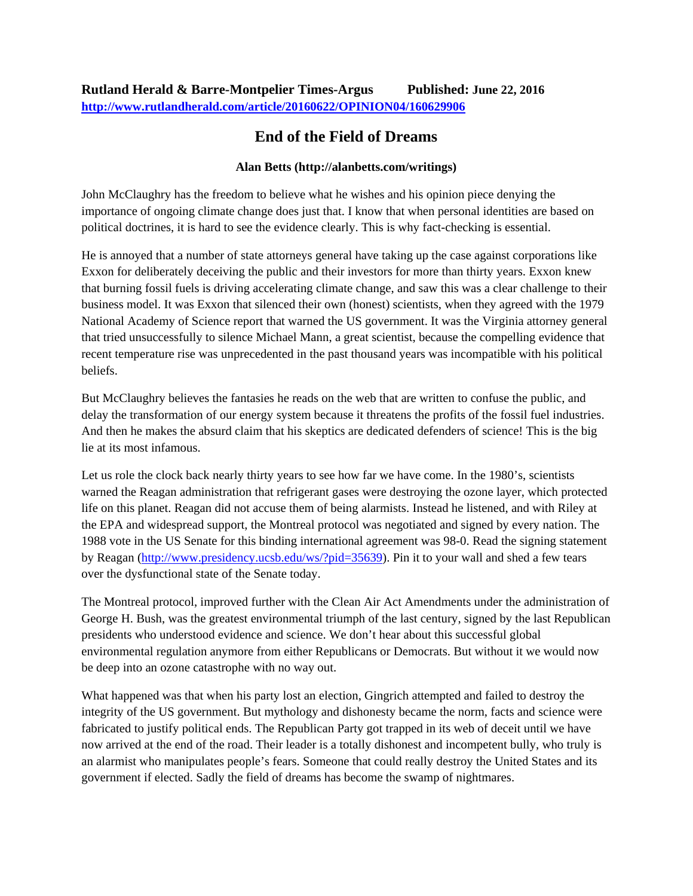## **End of the Field of Dreams**

## **Alan Betts (http://alanbetts.com/writings)**

John McClaughry has the freedom to believe what he wishes and his opinion piece denying the importance of ongoing climate change does just that. I know that when personal identities are based on political doctrines, it is hard to see the evidence clearly. This is why fact-checking is essential.

He is annoyed that a number of state attorneys general have taking up the case against corporations like Exxon for deliberately deceiving the public and their investors for more than thirty years. Exxon knew that burning fossil fuels is driving accelerating climate change, and saw this was a clear challenge to their business model. It was Exxon that silenced their own (honest) scientists, when they agreed with the 1979 National Academy of Science report that warned the US government. It was the Virginia attorney general that tried unsuccessfully to silence Michael Mann, a great scientist, because the compelling evidence that recent temperature rise was unprecedented in the past thousand years was incompatible with his political beliefs.

But McClaughry believes the fantasies he reads on the web that are written to confuse the public, and delay the transformation of our energy system because it threatens the profits of the fossil fuel industries. And then he makes the absurd claim that his skeptics are dedicated defenders of science! This is the big lie at its most infamous.

Let us role the clock back nearly thirty years to see how far we have come. In the 1980's, scientists warned the Reagan administration that refrigerant gases were destroying the ozone layer, which protected life on this planet. Reagan did not accuse them of being alarmists. Instead he listened, and with Riley at the EPA and widespread support, the Montreal protocol was negotiated and signed by every nation. The 1988 vote in the US Senate for this binding international agreement was 98-0. Read the signing statement by Reagan [\(http://www.presidency.ucsb.edu/ws/?pid=35639\)](http://www.presidency.ucsb.edu/ws/?pid=35639). Pin it to your wall and shed a few tears over the dysfunctional state of the Senate today.

The Montreal protocol, improved further with the Clean Air Act Amendments under the administration of George H. Bush, was the greatest environmental triumph of the last century, signed by the last Republican presidents who understood evidence and science. We don't hear about this successful global environmental regulation anymore from either Republicans or Democrats. But without it we would now be deep into an ozone catastrophe with no way out.

What happened was that when his party lost an election, Gingrich attempted and failed to destroy the integrity of the US government. But mythology and dishonesty became the norm, facts and science were fabricated to justify political ends. The Republican Party got trapped in its web of deceit until we have now arrived at the end of the road. Their leader is a totally dishonest and incompetent bully, who truly is an alarmist who manipulates people's fears. Someone that could really destroy the United States and its government if elected. Sadly the field of dreams has become the swamp of nightmares.